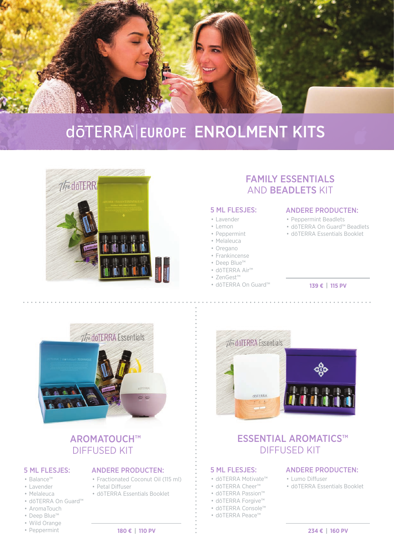

# döTERRA EUROPE ENROLMENT KITS



## FAMILY ESSENTIALS AND BEADLETS KIT

#### 5 ML FLESJES:

- Lavender
- Lemon
- Peppermint
- Melaleuca
- Oregano
- Frankincense
- Deep Blue™
- dōTERRA Air™
- ZenGest™
- dōTERRA On Guard™

#### ANDERE PRODUCTEN:

- Peppermint Beadlets
- dōTERRA On Guard™ Beadlets
- dōTERRA Essentials Booklet

#### **139 € | 115 PV**



## AROMATOUCH™ DIFFUSED KIT

• Petal Diffuser

### 5 ML FLESJES:

- Balance™
- Lavender
- Melaleuca
- dōTERRA On Guard™
- AromaTouch
- Deep Blue™
- Wild Orange
- Peppermint

• dōTERRA Essentials Booklet

ANDERE PRODUCTEN: • Fractionated Coconut Oil (115 ml)



### ESSENTIAL AROMATICS™ DIFFUSED KIT

#### 5 ML FLESJES:

- dōTERRA Motivate™
- dōTERRA Cheer™
- dōTERRA Passion™
- dōTERRA Forgive™
- dōTERRA Console™
- dōTERRA Peace™
- 

#### ANDERE PRODUCTEN:

- Lumo Diffuser
- dōTERRA Essentials Booklet
	-

#### **180 € | 110 PV 234 € | 160 PV**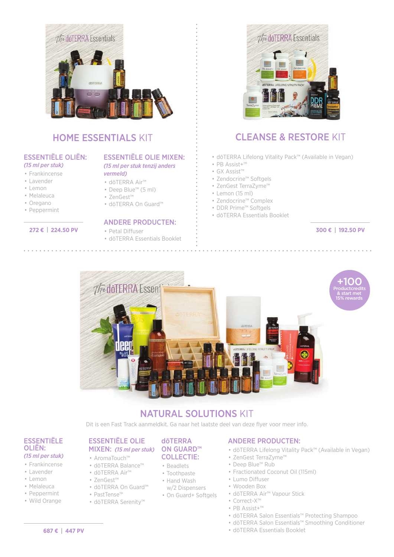

## HOME ESSENTIALS KIT

#### ESSENTIËLE OLIËN: *(15 ml per stuk)*

- Frankincense
- Lavender
- Lemon
- Melaleuca
- Oregano
- Peppermint

#### **272 € | 224.50 PV**

# ESSENTIËLE OLIE MIXEN:

*(15 ml per stuk tenzij anders vermeld)*

- dōTERRA Air™
- Deep Blue™ (5 ml)
- ZenGest™
	- dōTERRA On Guard™

### ANDERE PRODUCTEN:

- Petal Diffuser
- dōTERRA Essentials Booklet



### CLEANSE & RESTORE KIT

- dōTERRA Lifelong Vitality Pack™ (Available in Vegan)
- PB Assist+™
- GX Assist™
- Zendocrine™ Softgels
- ZenGest TerraZyme™
- Lemon (15 ml)
- Zendocrine™ Complex
- DDR Prime™ Softgels
- dōTERRA Essentials Booklet

**300 € | 192.50 PV**



### NATURAL SOLUTIONS KIT

Dit is een Fast Track aanmeldkit. Ga naar het laatste deel van deze flyer voor meer info.

#### ESSENTIËLE OLIËN: *(15 ml per stuk)*

- Frankincense
- Lavender
- Lemon
- Melaleuca
- Peppermint
- Wild Orange

#### ESSENTIËLE OLIE MIXEN: *(15 ml per stuk)*

- AromaTouch™
- dōTERRA Balance™
- dōTERRA Air™
- ZenGest™
- dōTERRA On Guard™
- PastTense™
	- dōTERRA Serenity™

#### dōTERRA ON GUARD<sup>™</sup> COLLECTIE:

- Beadlets
- Toothpaste
- Hand Wash
- w/2 Dispensers
- On Guard+ Softgels

### ANDERE PRODUCTEN:

- dōTERRA Lifelong Vitality Pack™ (Available in Vegan)
- ZenGest TerraZyme™
- Deep Blue™ Rub
- Fractionated Coconut Oil (115ml)
- Lumo Diffuser
- Wooden Box • dōTERRA Air™ Vapour Stick
- Correct-X™
- PB Assist+™
- dōTERRA Salon Essentials™ Protecting Shampoo
- dōTERRA Salon Essentials™ Smoothing Conditioner
- dōTERRA Essentials Booklet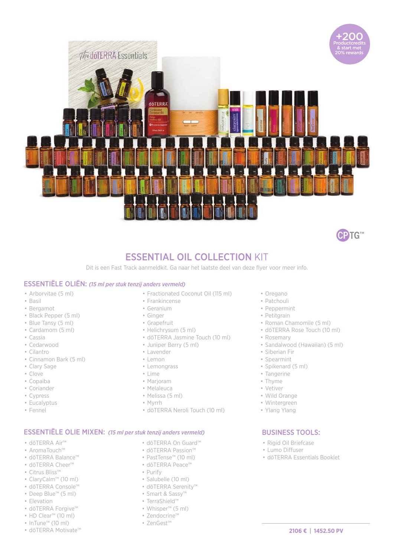



### ESSENTIAL OIL COLLECTION KIT

Dit is een Fast Track aanmeldkit. Ga naar het laatste deel van deze flyer voor meer info.

#### ESSENTIËLE OLIËN: *(15 ml per stuk tenzij anders vermeld)*

- Arborvitae (5 ml)
- Basil
- Bergamot
- Black Pepper (5 ml)
- Blue Tansy (5 ml)
- Cardamom (5 ml)
- Cassia
- Cedarwood
- Cilantro
- Cinnamon Bark (5 ml)
- Clary Sage
- Clove
- Copaiba • Coriander
- Cypress
- Eucalyptus
- Fennel
- Fractionated Coconut Oil (115 ml) • Frankincense
- Geranium
- Ginger
- Grapefruit
- Helichrysum (5 ml)
- dōTERRA Jasmine Touch (10 ml)
- Juniper Berry (5 ml)
- Lavender
- Lemon
- Lemongrass
- Lime
- Marjoram
- Melaleuca
- Melissa (5 ml)
- Myrrh
- dōTERRA Neroli Touch (10 ml)

#### ESSENTIËLE OLIE MIXEN: *(15 ml per stuk tenzij anders vermeld)*

- dōTERRA Air™
- AromaTouch™
- dōTERRA Balance™
- dōTERRA Cheer™
- Citrus Bliss™
- ClaryCalm™ (10 ml)
- dōTERRA Console™
- Deep Blue™ (5 ml)
- Elevation
- dōTERRA Forgive™
- HD Clear™ (10 ml)
- InTune™ (10 ml)
- dōTERRA Motivate™
- dōTERRA On Guard™
- dōTERRA Passion™ • PastTense™ (10 ml)
- dōTERRA Peace™
- Purify
- Salubelle (10 ml)
- dōTERRA Serenity™
- Smart & Sassy™
- TerraShield™
- Whisper™ (5 ml)
- Zendocrine™
- ZenGest™
- 

#### • Oregano

- Patchouli
- Peppermint
- Petitgrain
- Roman Chamomile (5 ml)
- dōTERRA Rose Touch (10 ml)
- Rosemary
- Sandalwood (Hawaiian) (5 ml)
- Siberian Fir
- Spearmint
- Spikenard (5 ml)
- Tangerine
- Thyme
- Vetiver
- Wild Orange
- Wintergreen
- Ylang Ylang

#### BUSINESS TOOLS:

- Rigid Oil Briefcase
- Lumo Diffuser
- dōTERRA Essentials Booklet